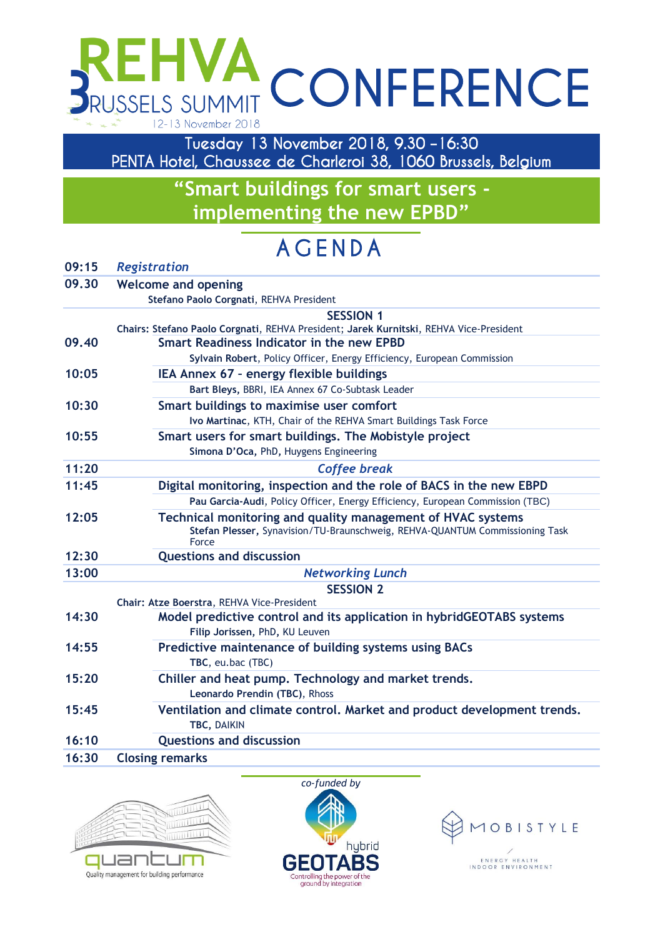# **VA CONFERENCE** RUSSELS SUMMIT 12-13 November 2018

**Tuesday 13 November 2018, 9.30 –16:30 PENTA Hotel, Chaussee de Charleroi 38, 1060 Brussels, Belgium** 

> **"Smart buildings for smart users implementing the new EPBD"**

# **A G E N D A**

## **09:15** *Registration*

## **09.30 Welcome and opening Stefano Paolo Corgnati**, REHVA President **SESSION 1 Chairs: Stefano Paolo Corgnati**, REHVA President; **Jarek Kurnitski**, REHVA Vice-President **09.40 Smart Readiness Indicator in the new EPBD Sylvain Robert**, Policy Officer, Energy Efficiency, European Commission **10:05 IEA Annex 67 – energy flexible buildings Bart Bleys,** BBRI, IEA Annex 67 Co-Subtask Leader **10:30 Smart buildings to maximise user comfort Ivo Martinac**, KTH, Chair of the REHVA Smart Buildings Task Force **10:55 Smart users for smart buildings. The Mobistyle project Simona D'Oca,** PhD**,** Huygens Engineering **11:20** *Coffee break* **11:45 Digital monitoring, inspection and the role of BACS in the new EBPD Pau Garcia-Audi**, Policy Officer, Energy Efficiency, European Commission (TBC) **12:05 Technical monitoring and quality management of HVAC systems Stefan Plesser,** Synavision/TU-Braunschweig, REHVA-QUANTUM Commissioning Task Force **12:30 Questions and discussion 13:00** *Networking Lunch* **SESSION 2 Chair: Atze Boerstra**, REHVA Vice-President **14:30 Model predictive control and its application in hybridGEOTABS systems Filip Jorissen,** PhD**,** KU Leuven **14:55 Predictive maintenance of building systems using BACs TBC**, eu.bac (TBC) **15:20 Chiller and heat pump. Technology and market trends. Leonardo Prendin (TBC)**, Rhoss **15:45 Ventilation and climate control. Market and product development trends. TBC,** DAIKIN **16:10 Questions and discussion 16:30 Closing remarks**